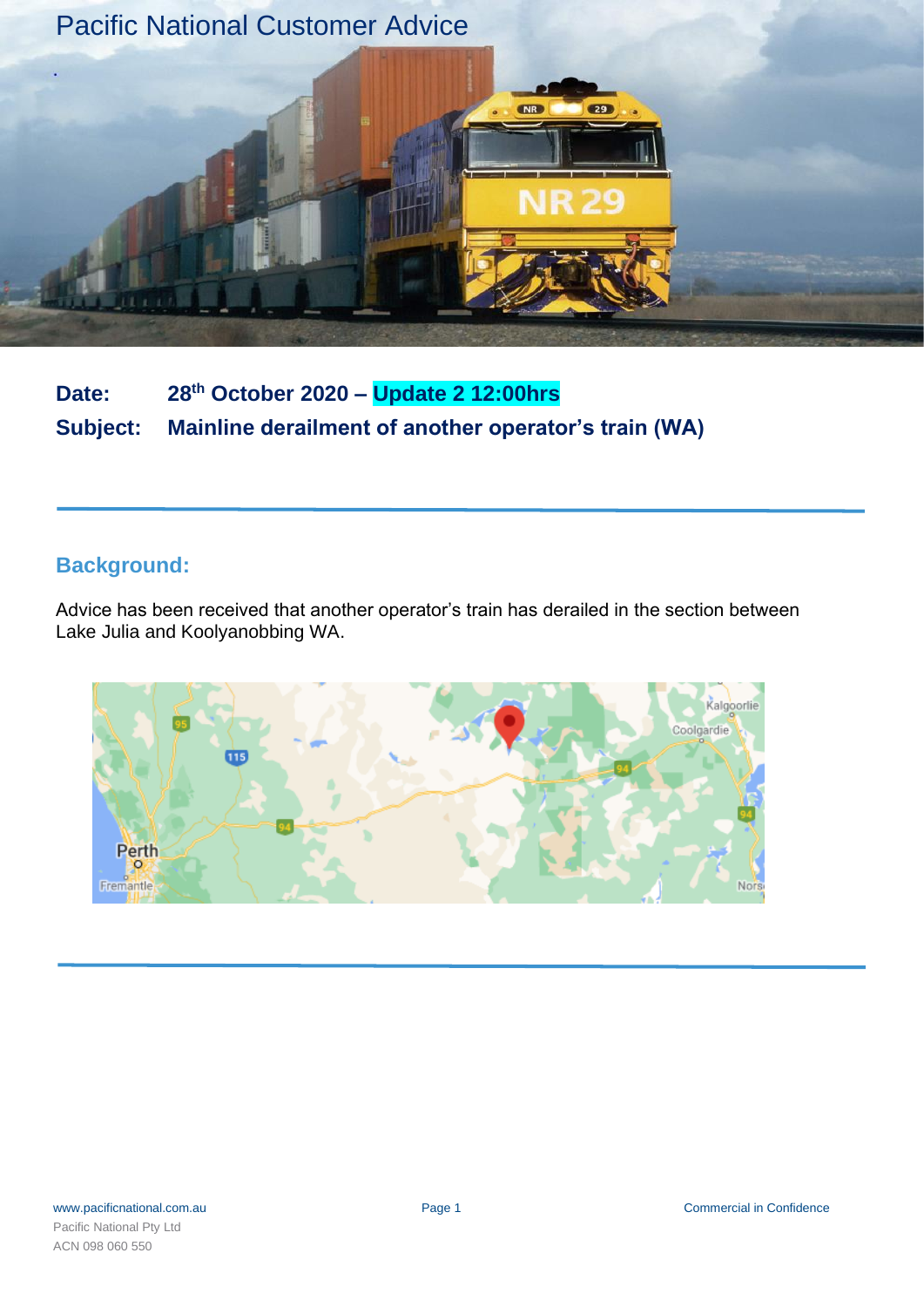

**Date: 28th October 2020 – Update 2 12:00hrs Subject: Mainline derailment of another operator's train (WA)**

# **Background:**

Advice has been received that another operator's train has derailed in the section between Lake Julia and Koolyanobbing WA.

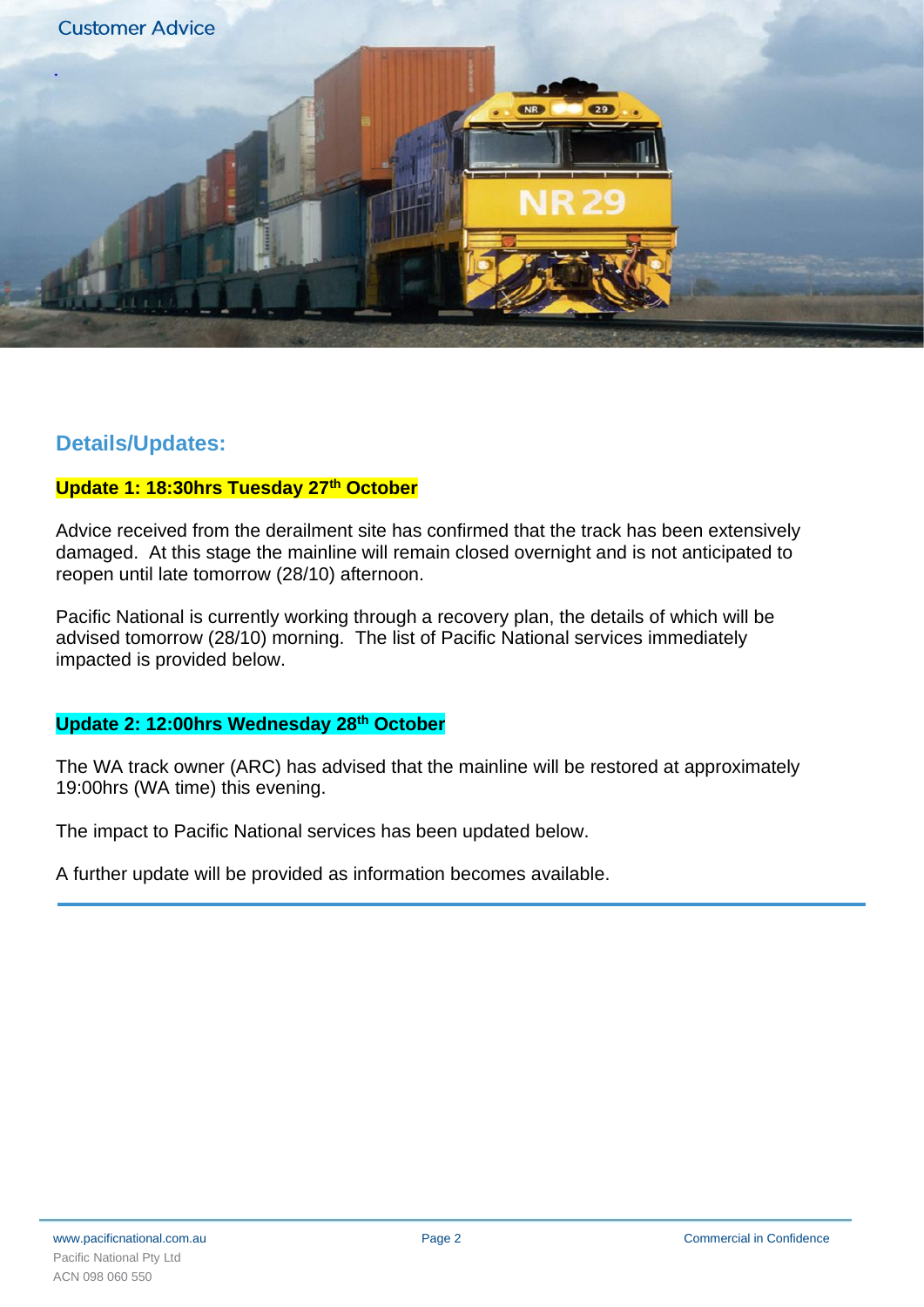

## **Details/Updates:**

## **Update 1: 18:30hrs Tuesday 27th October**

Advice received from the derailment site has confirmed that the track has been extensively damaged. At this stage the mainline will remain closed overnight and is not anticipated to reopen until late tomorrow (28/10) afternoon.

Pacific National is currently working through a recovery plan, the details of which will be advised tomorrow (28/10) morning. The list of Pacific National services immediately impacted is provided below.

## **Update 2: 12:00hrs Wednesday 28 th October**

The WA track owner (ARC) has advised that the mainline will be restored at approximately 19:00hrs (WA time) this evening.

The impact to Pacific National services has been updated below.

A further update will be provided as information becomes available.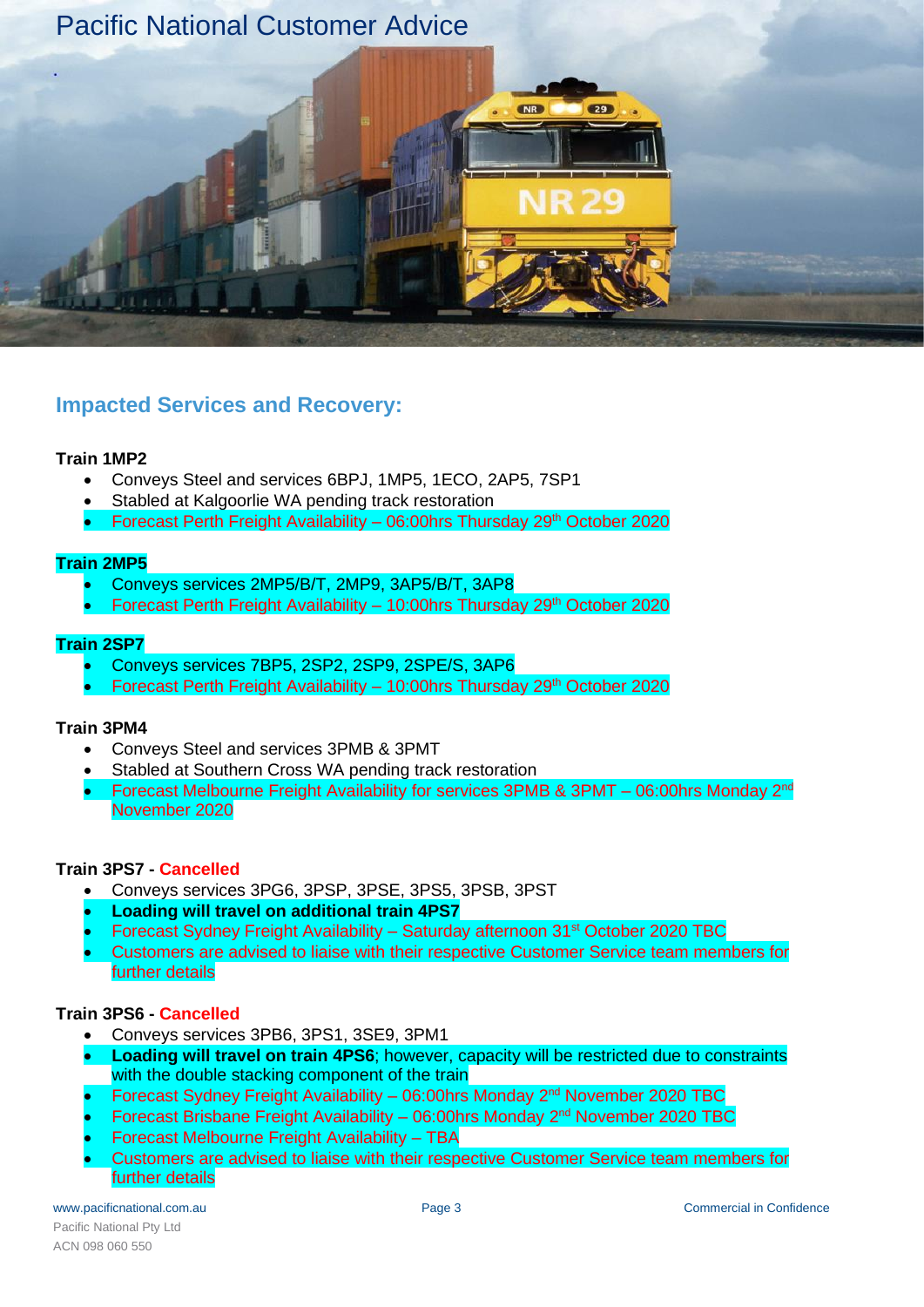

# **Impacted Services and Recovery:**

### **Train 1MP2**

- Conveys Steel and services 6BPJ, 1MP5, 1ECO, 2AP5, 7SP1
- Stabled at Kalgoorlie WA pending track restoration
- Forecast Perth Freight Availability 06:00hrs Thursday 29th October 2020

### **Train 2MP5**

- Conveys services 2MP5/B/T, 2MP9, 3AP5/B/T, 3AP8
- Forecast Perth Freight Availability 10:00hrs Thursday 29th October 2020

### **Train 2SP7**

- Conveys services 7BP5, 2SP2, 2SP9, 2SPE/S, 3AP6
- Forecast Perth Freight Availability 10:00hrs Thursday 29th October 2020

### **Train 3PM4**

- Conveys Steel and services 3PMB & 3PMT
- Stabled at Southern Cross WA pending track restoration
- Forecast Melbourne Freight Availability for services 3PMB & 3PMT 06:00hrs Monday  $2^{nd}$ November 2020

### **Train 3PS7 - Cancelled**

- Conveys services 3PG6, 3PSP, 3PSE, 3PS5, 3PSB, 3PST
- **Loading will travel on additional train 4PS7**
- Forecast Sydney Freight Availability Saturday afternoon 31st October 2020 TBC
- Customers are advised to liaise with their respective Customer Service team members for further details

### **Train 3PS6 - Cancelled**

- Conveys services 3PB6, 3PS1, 3SE9, 3PM1
- **Loading will travel on train 4PS6**; however, capacity will be restricted due to constraints with the double stacking component of the train
- Forecast Sydney Freight Availability 06:00hrs Monday 2nd November 2020 TBC
- Forecast Brisbane Freight Availability 06:00hrs Monday 2nd November 2020 TBC
- Forecast Melbourne Freight Availability TBA
- Customers are advised to liaise with their respective Customer Service team members for further details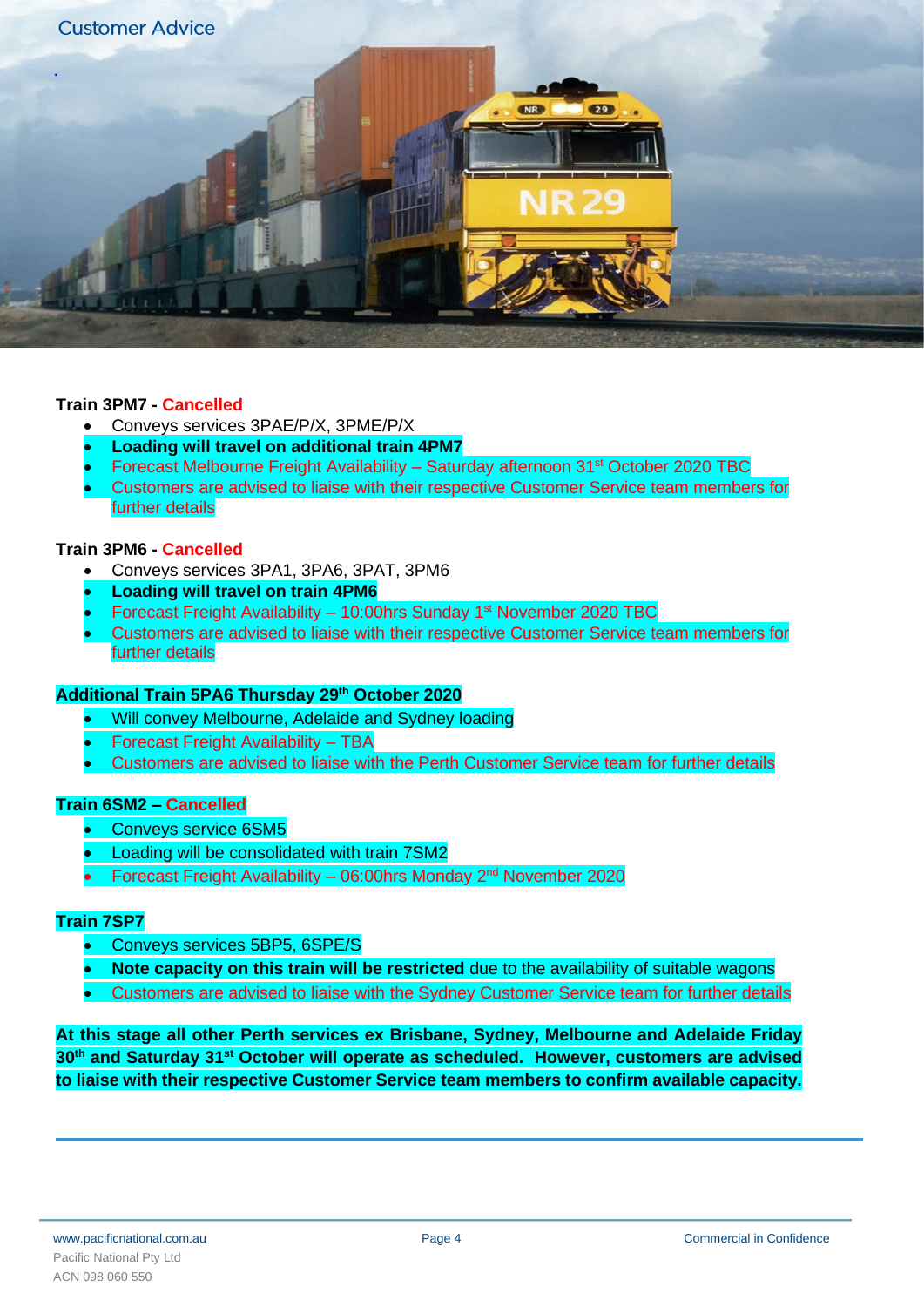

### **Train 3PM7 - Cancelled**

- Conveys services 3PAE/P/X, 3PME/P/X
- **Loading will travel on additional train 4PM7**
- Forecast Melbourne Freight Availability Saturday afternoon 31st October 2020 TBC
- Customers are advised to liaise with their respective Customer Service team members for further details

### **Train 3PM6 - Cancelled**

- Conveys services 3PA1, 3PA6, 3PAT, 3PM6
- **Loading will travel on train 4PM6**
- Forecast Freight Availability 10:00hrs Sunday 1st November 2020 TBC
- Customers are advised to liaise with their respective Customer Service team members for further details

#### **Additional Train 5PA6 Thursday 29th October 2020**

- Will convey Melbourne, Adelaide and Sydney loading
- Forecast Freight Availability TBA
- Customers are advised to liaise with the Perth Customer Service team for further details

#### **Train 6SM2 – Cancelled**

- Conveys service 6SM5
- Loading will be consolidated with train 7SM2
- Forecast Freight Availability 06:00hrs Monday 2nd November 2020

#### **Train 7SP7**

- Conveys services 5BP5, 6SPE/S
- **Note capacity on this train will be restricted** due to the availability of suitable wagons
- Customers are advised to liaise with the Sydney Customer Service team for further details

**At this stage all other Perth services ex Brisbane, Sydney, Melbourne and Adelaide Friday 30 th and Saturday 31st October will operate as scheduled. However, customers are advised to liaise with their respective Customer Service team members to confirm available capacity.**